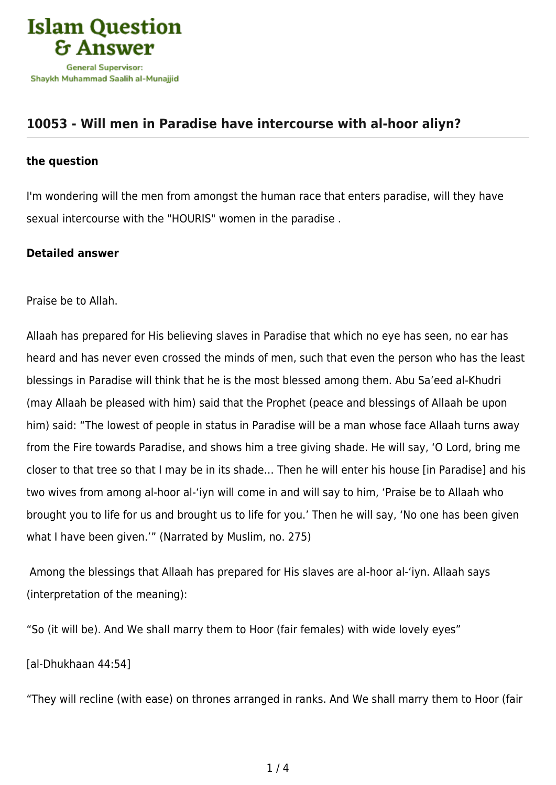

## **[10053 - Will men in Paradise have intercourse with al-hoor aliyn?](https://islamqa.com/en/answers/10053/will-men-in-paradise-have-intercourse-with-al-hoor-aliyn)**

## **the question**

I'm wondering will the men from amongst the human race that enters paradise, will they have sexual intercourse with the "HOURIS" women in the paradise .

## **Detailed answer**

Praise be to Allah.

Allaah has prepared for His believing slaves in Paradise that which no eye has seen, no ear has heard and has never even crossed the minds of men, such that even the person who has the least blessings in Paradise will think that he is the most blessed among them. Abu Sa'eed al-Khudri (may Allaah be pleased with him) said that the Prophet (peace and blessings of Allaah be upon him) said: "The lowest of people in status in Paradise will be a man whose face Allaah turns away from the Fire towards Paradise, and shows him a tree giving shade. He will say, 'O Lord, bring me closer to that tree so that I may be in its shade… Then he will enter his house [in Paradise] and his two wives from among al-hoor al-'iyn will come in and will say to him, 'Praise be to Allaah who brought you to life for us and brought us to life for you.' Then he will say, 'No one has been given what I have been given.'" (Narrated by Muslim, no. 275)

 Among the blessings that Allaah has prepared for His slaves are al-hoor al-'iyn. Allaah says (interpretation of the meaning):

"So (it will be). And We shall marry them to Hoor (fair females) with wide lovely eyes"

## [al-Dhukhaan 44:54]

"They will recline (with ease) on thrones arranged in ranks. And We shall marry them to Hoor (fair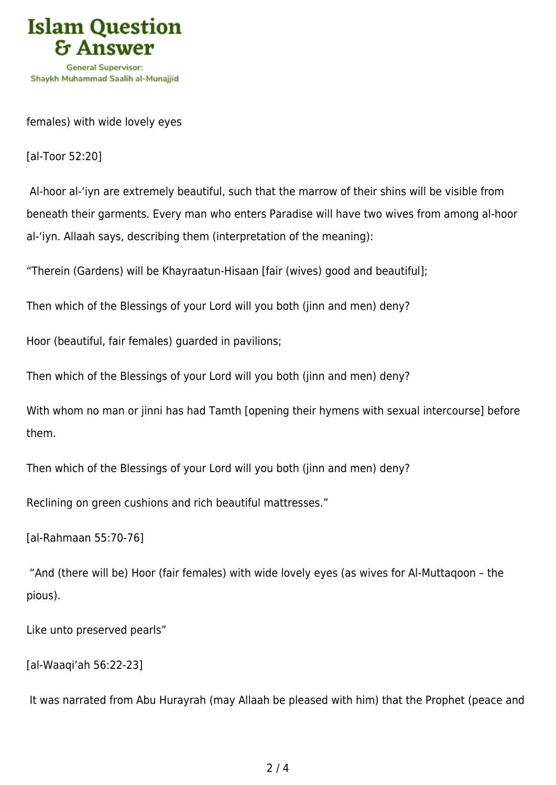

females) with wide lovely eyes

[al-Toor 52:20]

 Al-hoor al-'iyn are extremely beautiful, such that the marrow of their shins will be visible from beneath their garments. Every man who enters Paradise will have two wives from among al-hoor al-'iyn. Allaah says, describing them (interpretation of the meaning):

"Therein (Gardens) will be Khayraatun‑Hisaan [fair (wives) good and beautiful];

Then which of the Blessings of your Lord will you both (jinn and men) deny?

Hoor (beautiful, fair females) guarded in pavilions;

Then which of the Blessings of your Lord will you both (jinn and men) deny?

With whom no man or jinni has had Tamth [opening their hymens with sexual intercourse] before them.

Then which of the Blessings of your Lord will you both (jinn and men) deny?

Reclining on green cushions and rich beautiful mattresses."

[al-Rahmaan 55:70-76]

 "And (there will be) Hoor (fair females) with wide lovely eyes (as wives for Al-Muttaqoon – the pious).

Like unto preserved pearls"

[al-Waaqi'ah 56:22-23]

It was narrated from Abu Hurayrah (may Allaah be pleased with him) that the Prophet (peace and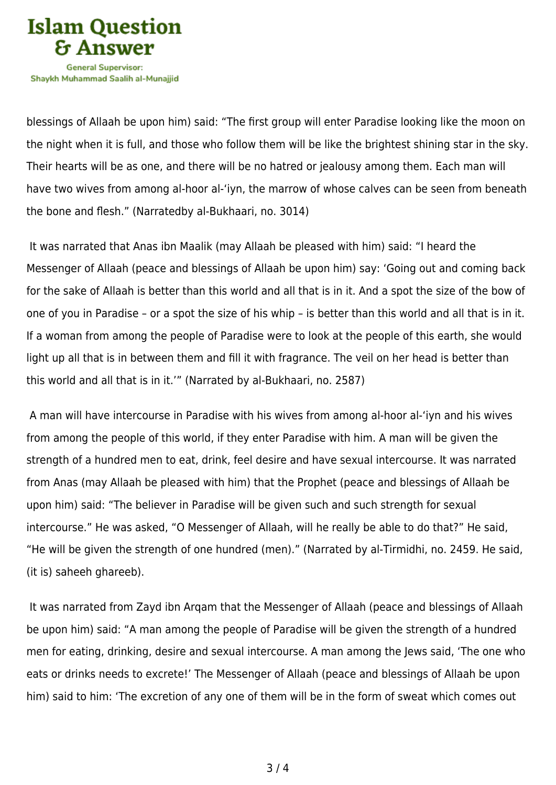

blessings of Allaah be upon him) said: "The first group will enter Paradise looking like the moon on the night when it is full, and those who follow them will be like the brightest shining star in the sky. Their hearts will be as one, and there will be no hatred or jealousy among them. Each man will have two wives from among al-hoor al-'iyn, the marrow of whose calves can be seen from beneath the bone and flesh." (Narratedby al-Bukhaari, no. 3014)

 It was narrated that Anas ibn Maalik (may Allaah be pleased with him) said: "I heard the Messenger of Allaah (peace and blessings of Allaah be upon him) say: 'Going out and coming back for the sake of Allaah is better than this world and all that is in it. And a spot the size of the bow of one of you in Paradise – or a spot the size of his whip – is better than this world and all that is in it. If a woman from among the people of Paradise were to look at the people of this earth, she would light up all that is in between them and fill it with fragrance. The veil on her head is better than this world and all that is in it.'" (Narrated by al-Bukhaari, no. 2587)

 A man will have intercourse in Paradise with his wives from among al-hoor al-'iyn and his wives from among the people of this world, if they enter Paradise with him. A man will be given the strength of a hundred men to eat, drink, feel desire and have sexual intercourse. It was narrated from Anas (may Allaah be pleased with him) that the Prophet (peace and blessings of Allaah be upon him) said: "The believer in Paradise will be given such and such strength for sexual intercourse." He was asked, "O Messenger of Allaah, will he really be able to do that?" He said, "He will be given the strength of one hundred (men)." (Narrated by al-Tirmidhi, no. 2459. He said, (it is) saheeh ghareeb).

 It was narrated from Zayd ibn Arqam that the Messenger of Allaah (peace and blessings of Allaah be upon him) said: "A man among the people of Paradise will be given the strength of a hundred men for eating, drinking, desire and sexual intercourse. A man among the Jews said, 'The one who eats or drinks needs to excrete!' The Messenger of Allaah (peace and blessings of Allaah be upon him) said to him: 'The excretion of any one of them will be in the form of sweat which comes out